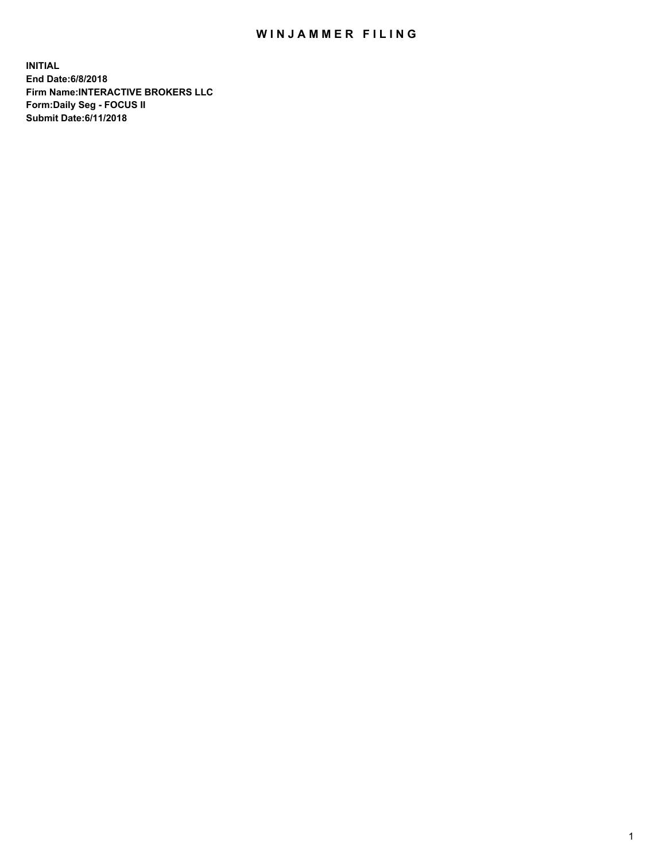## WIN JAMMER FILING

**INITIAL End Date:6/8/2018 Firm Name:INTERACTIVE BROKERS LLC Form:Daily Seg - FOCUS II Submit Date:6/11/2018**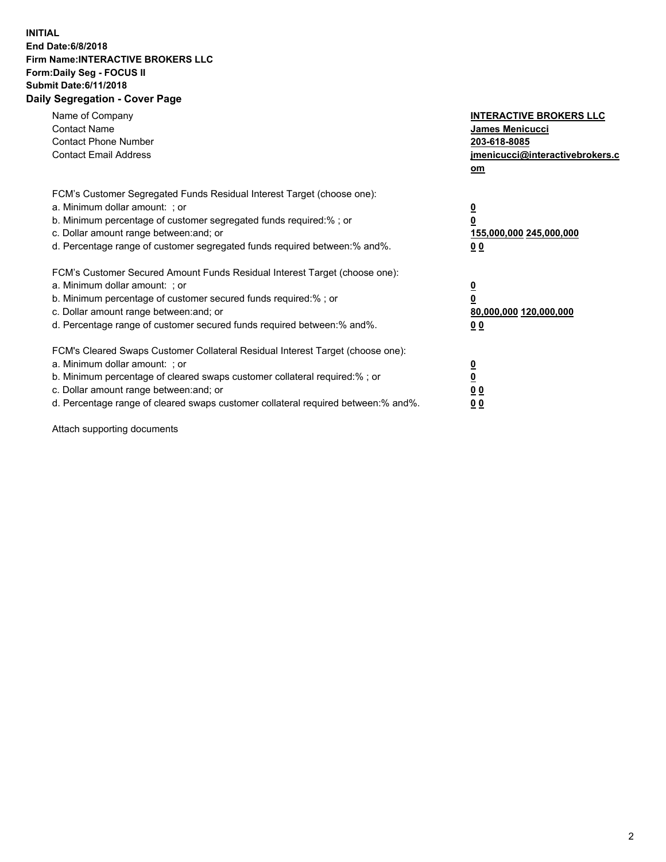## **INITIAL End Date:6/8/2018 Firm Name:INTERACTIVE BROKERS LLC Form:Daily Seg - FOCUS II Submit Date:6/11/2018 Daily Segregation - Cover Page**

| Name of Company<br><b>Contact Name</b><br><b>Contact Phone Number</b><br><b>Contact Email Address</b>                                                                                                                                                                                                                          | <b>INTERACTIVE BROKERS LLC</b><br><b>James Menicucci</b><br>203-618-8085<br>jmenicucci@interactivebrokers.c<br>om |
|--------------------------------------------------------------------------------------------------------------------------------------------------------------------------------------------------------------------------------------------------------------------------------------------------------------------------------|-------------------------------------------------------------------------------------------------------------------|
| FCM's Customer Segregated Funds Residual Interest Target (choose one):<br>a. Minimum dollar amount: ; or<br>b. Minimum percentage of customer segregated funds required:% ; or<br>c. Dollar amount range between: and; or<br>d. Percentage range of customer segregated funds required between: % and %.                       | $\overline{\mathbf{0}}$<br>0<br>155,000,000 245,000,000<br>00                                                     |
| FCM's Customer Secured Amount Funds Residual Interest Target (choose one):<br>a. Minimum dollar amount: ; or<br>b. Minimum percentage of customer secured funds required:%; or<br>c. Dollar amount range between: and; or<br>d. Percentage range of customer secured funds required between: % and %.                          | $\overline{\mathbf{0}}$<br>0<br>80,000,000 120,000,000<br>00                                                      |
| FCM's Cleared Swaps Customer Collateral Residual Interest Target (choose one):<br>a. Minimum dollar amount: ; or<br>b. Minimum percentage of cleared swaps customer collateral required:% ; or<br>c. Dollar amount range between: and; or<br>d. Percentage range of cleared swaps customer collateral required between:% and%. | $\overline{\mathbf{0}}$<br>$\overline{\mathbf{0}}$<br>00<br>0 <sub>0</sub>                                        |

Attach supporting documents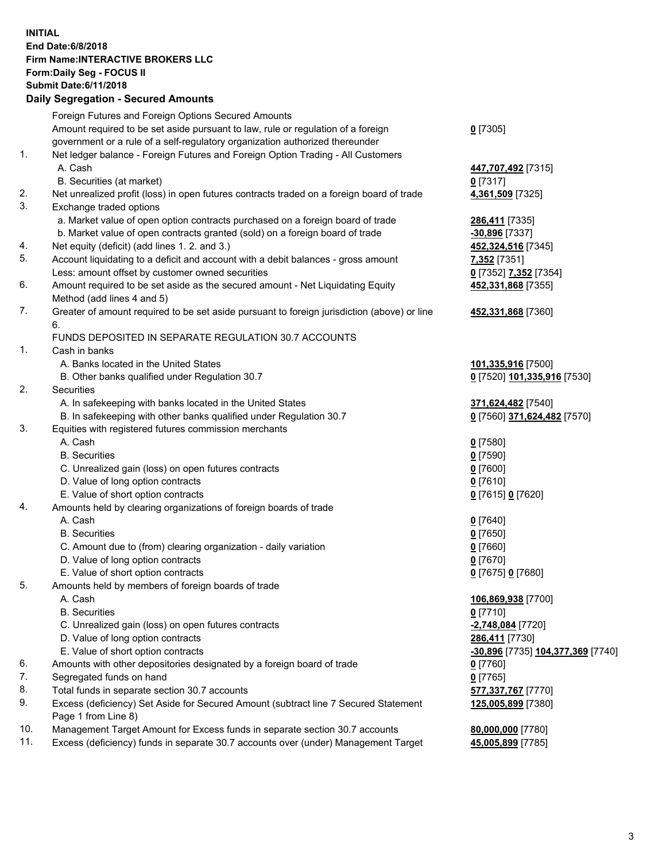## **INITIAL End Date:6/8/2018 Firm Name:INTERACTIVE BROKERS LLC Form:Daily Seg - FOCUS II Submit Date:6/11/2018 Daily Segregation - Secured Amounts**

|     | Foreign Futures and Foreign Options Secured Amounts                                         |                                   |
|-----|---------------------------------------------------------------------------------------------|-----------------------------------|
|     | Amount required to be set aside pursuant to law, rule or regulation of a foreign            | $0$ [7305]                        |
|     | government or a rule of a self-regulatory organization authorized thereunder                |                                   |
| 1.  | Net ledger balance - Foreign Futures and Foreign Option Trading - All Customers             |                                   |
|     | A. Cash                                                                                     | 447,707,492 [7315]                |
|     | B. Securities (at market)                                                                   | $0$ [7317]                        |
| 2.  | Net unrealized profit (loss) in open futures contracts traded on a foreign board of trade   | 4,361,509 [7325]                  |
| 3.  | Exchange traded options                                                                     |                                   |
|     | a. Market value of open option contracts purchased on a foreign board of trade              | 286,411 [7335]                    |
|     | b. Market value of open contracts granted (sold) on a foreign board of trade                | -30,896 [7337]                    |
| 4.  | Net equity (deficit) (add lines 1.2. and 3.)                                                | 452,324,516 [7345]                |
| 5.  | Account liquidating to a deficit and account with a debit balances - gross amount           | 7,352 [7351]                      |
|     | Less: amount offset by customer owned securities                                            |                                   |
| 6.  |                                                                                             | 0 [7352] 7,352 [7354]             |
|     | Amount required to be set aside as the secured amount - Net Liquidating Equity              | 452,331,868 [7355]                |
|     | Method (add lines 4 and 5)                                                                  |                                   |
| 7.  | Greater of amount required to be set aside pursuant to foreign jurisdiction (above) or line | 452,331,868 [7360]                |
|     | 6.                                                                                          |                                   |
|     | FUNDS DEPOSITED IN SEPARATE REGULATION 30.7 ACCOUNTS                                        |                                   |
| 1.  | Cash in banks                                                                               |                                   |
|     | A. Banks located in the United States                                                       | 101,335,916 [7500]                |
|     | B. Other banks qualified under Regulation 30.7                                              | 0 [7520] 101,335,916 [7530]       |
| 2.  | Securities                                                                                  |                                   |
|     | A. In safekeeping with banks located in the United States                                   | 371,624,482 [7540]                |
|     | B. In safekeeping with other banks qualified under Regulation 30.7                          | 0 [7560] 371,624,482 [7570]       |
| 3.  | Equities with registered futures commission merchants                                       |                                   |
|     | A. Cash                                                                                     | $0$ [7580]                        |
|     | <b>B.</b> Securities                                                                        | $0$ [7590]                        |
|     | C. Unrealized gain (loss) on open futures contracts                                         | $0$ [7600]                        |
|     | D. Value of long option contracts                                                           | $0$ [7610]                        |
|     | E. Value of short option contracts                                                          | 0 [7615] 0 [7620]                 |
| 4.  | Amounts held by clearing organizations of foreign boards of trade                           |                                   |
|     | A. Cash                                                                                     | $0$ [7640]                        |
|     | <b>B.</b> Securities                                                                        | $0$ [7650]                        |
|     | C. Amount due to (from) clearing organization - daily variation                             | $0$ [7660]                        |
|     | D. Value of long option contracts                                                           | $0$ [7670]                        |
|     | E. Value of short option contracts                                                          | 0 [7675] 0 [7680]                 |
| 5.  | Amounts held by members of foreign boards of trade                                          |                                   |
|     | A. Cash                                                                                     | 106,869,938 [7700]                |
|     | <b>B.</b> Securities                                                                        | $0$ [7710]                        |
|     | C. Unrealized gain (loss) on open futures contracts                                         | -2,748,084 [7720]                 |
|     | D. Value of long option contracts                                                           | 286,411 [7730]                    |
|     | E. Value of short option contracts                                                          | -30,896 [7735] 104,377,369 [7740] |
| 6.  | Amounts with other depositories designated by a foreign board of trade                      | $0$ [7760]                        |
| 7.  | Segregated funds on hand                                                                    | $0$ [7765]                        |
| 8.  | Total funds in separate section 30.7 accounts                                               | 577,337,767 [7770]                |
| 9.  | Excess (deficiency) Set Aside for Secured Amount (subtract line 7 Secured Statement         | 125,005,899 [7380]                |
|     | Page 1 from Line 8)                                                                         |                                   |
| 10. | Management Target Amount for Excess funds in separate section 30.7 accounts                 | 80,000,000 [7780]                 |
| 11. | Excess (deficiency) funds in separate 30.7 accounts over (under) Management Target          | 45,005,899 [7785]                 |
|     |                                                                                             |                                   |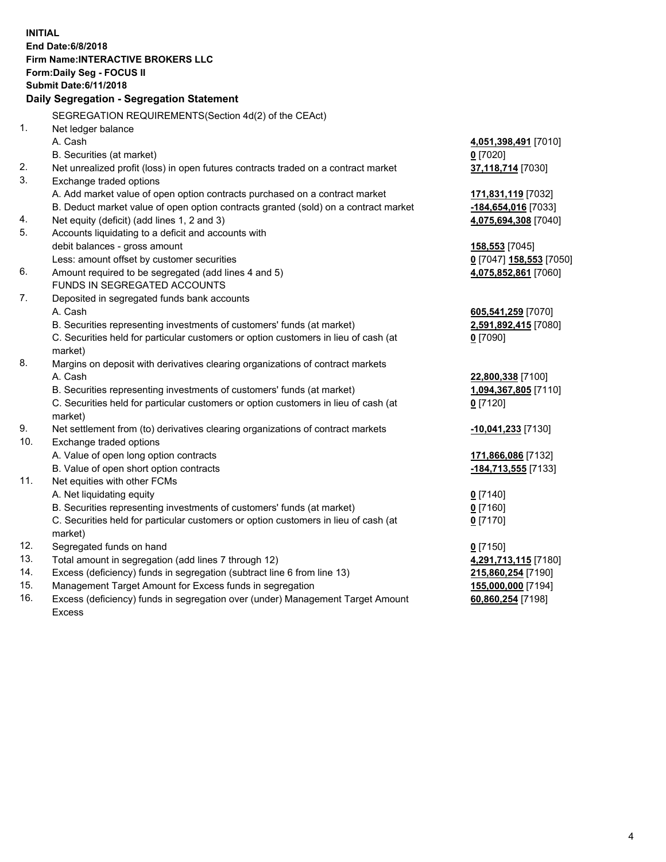**INITIAL End Date:6/8/2018 Firm Name:INTERACTIVE BROKERS LLC Form:Daily Seg - FOCUS II Submit Date:6/11/2018 Daily Segregation - Segregation Statement** SEGREGATION REQUIREMENTS(Section 4d(2) of the CEAct) 1. Net ledger balance A. Cash **4,051,398,491** [7010] B. Securities (at market) **0** [7020] 2. Net unrealized profit (loss) in open futures contracts traded on a contract market **37,118,714** [7030] 3. Exchange traded options A. Add market value of open option contracts purchased on a contract market **171,831,119** [7032] B. Deduct market value of open option contracts granted (sold) on a contract market **-184,654,016** [7033] 4. Net equity (deficit) (add lines 1, 2 and 3) **4,075,694,308** [7040] 5. Accounts liquidating to a deficit and accounts with debit balances - gross amount **158,553** [7045] Less: amount offset by customer securities **0** [7047] **158,553** [7050] 6. Amount required to be segregated (add lines 4 and 5) **4,075,852,861** [7060] FUNDS IN SEGREGATED ACCOUNTS 7. Deposited in segregated funds bank accounts A. Cash **605,541,259** [7070] B. Securities representing investments of customers' funds (at market) **2,591,892,415** [7080] C. Securities held for particular customers or option customers in lieu of cash (at market) **0** [7090] 8. Margins on deposit with derivatives clearing organizations of contract markets A. Cash **22,800,338** [7100] B. Securities representing investments of customers' funds (at market) **1,094,367,805** [7110] C. Securities held for particular customers or option customers in lieu of cash (at market) **0** [7120] 9. Net settlement from (to) derivatives clearing organizations of contract markets **-10,041,233** [7130] 10. Exchange traded options A. Value of open long option contracts **171,866,086** [7132] B. Value of open short option contracts **-184,713,555** [7133] 11. Net equities with other FCMs A. Net liquidating equity **0** [7140] B. Securities representing investments of customers' funds (at market) **0** [7160] C. Securities held for particular customers or option customers in lieu of cash (at market) **0** [7170] 12. Segregated funds on hand **0** [7150] 13. Total amount in segregation (add lines 7 through 12) **4,291,713,115** [7180] 14. Excess (deficiency) funds in segregation (subtract line 6 from line 13) **215,860,254** [7190] 15. Management Target Amount for Excess funds in segregation **155,000,000** [7194]

16. Excess (deficiency) funds in segregation over (under) Management Target Amount Excess

**60,860,254** [7198]